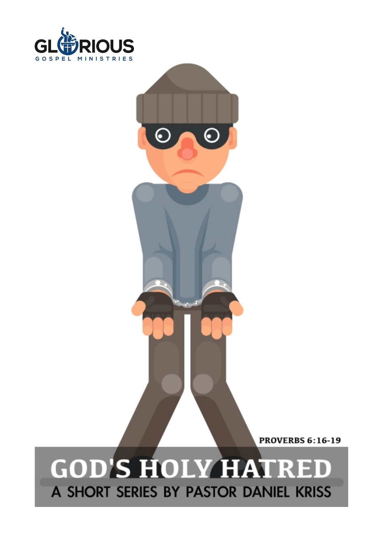

**PROVERBS 6:16-19** 

Page

# **GOD'S HOLY HATRED** BY PASTOR

€

€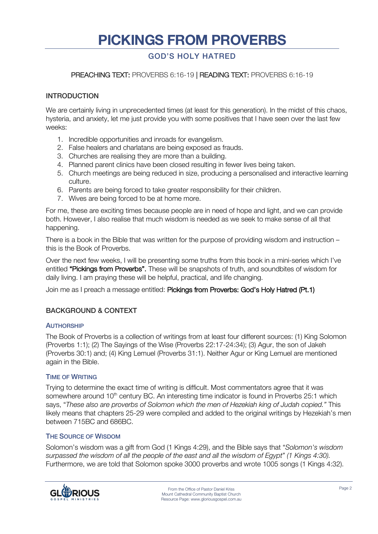# **PICKINGS FROM PROVERBS**

# GOD'S HOLY HATRED

# PREACHING TEXT: PROVERBS 6:16-19 | READING TEXT: PROVERBS 6:16-19

#### INTRODUCTION

We are certainly living in unprecedented times (at least for this generation). In the midst of this chaos, hysteria, and anxiety, let me just provide you with some positives that I have seen over the last few weeks:

- 1. Incredible opportunities and inroads for evangelism.
- 2. False healers and charlatans are being exposed as frauds.
- 3. Churches are realising they are more than a building.
- 4. Planned parent clinics have been closed resulting in fewer lives being taken.
- 5. Church meetings are being reduced in size, producing a personalised and interactive learning culture.
- 6. Parents are being forced to take greater responsibility for their children.
- 7. Wives are being forced to be at home more.

For me, these are exciting times because people are in need of hope and light, and we can provide both. However, I also realise that much wisdom is needed as we seek to make sense of all that happening.

There is a book in the Bible that was written for the purpose of providing wisdom and instruction – this is the Book of Proverbs.

Over the next few weeks, I will be presenting some truths from this book in a mini-series which I've entitled "Pickings from Proverbs". These will be snapshots of truth, and soundbites of wisdom for daily living. I am praying these will be helpful, practical, and life changing.

Join me as I preach a message entitled: Pickings from Proverbs: God's Holy Hatred (Pt.1)

# BACKGROUND & CONTEXT

#### **AUTHORSHIP**

The Book of Proverbs is a collection of writings from at least four different sources: (1) King Solomon (Proverbs 1:1); (2) The Sayings of the Wise (Proverbs 22:17-24:34); (3) Agur, the son of Jakeh (Proverbs 30:1) and; (4) King Lemuel (Proverbs 31:1). Neither Agur or King Lemuel are mentioned again in the Bible.

#### TIME OF WRITING

Trying to determine the exact time of writing is difficult. Most commentators agree that it was somewhere around 10<sup>th</sup> century BC. An interesting time indicator is found in Proverbs 25:1 which says, "*These also are proverbs of Solomon which the men of Hezekiah king of Judah copied."* This likely means that chapters 25-29 were compiled and added to the original writings by Hezekiah's men between 715BC and 686BC.

#### THE SOURCE OF WISDOM

Solomon's wisdom was a gift from God (1 Kings 4:29), and the Bible says that "*Solomon's wisdom surpassed the wisdom of all the people of the east and all the wisdom of Egypt" (1 Kings 4:30).*  Furthermore, we are told that Solomon spoke 3000 proverbs and wrote 1005 songs (1 Kings 4:32).

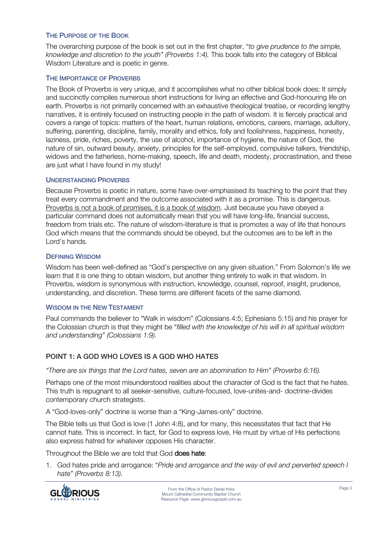### THE PURPOSE OF THE BOOK

The overarching purpose of the book is set out in the first chapter, "*to give prudence to the simple, knowledge and discretion to the youth" (Proverbs 1:4).* This book falls into the category of Biblical Wisdom Literature and is poetic in genre.

#### THE IMPORTANCE OF PROVERBS

The Book of Proverbs is very unique, and it accomplishes what no other biblical book does: It simply and succinctly compiles numerous short instructions for living an effective and God-honouring life on earth. Proverbs is not primarily concerned with an exhaustive theological treatise, or recording lengthy narratives, it is entirely focused on instructing people in the path of wisdom. It is fiercely practical and covers a range of topics: matters of the heart, human relations, emotions, careers, marriage, adultery, suffering, parenting, discipline, family, morality and ethics, folly and foolishness, happiness, honesty, laziness, pride, riches, poverty, the use of alcohol, importance of hygiene, the nature of God, the nature of sin, outward beauty, anxiety, principles for the self-employed, compulsive talkers, friendship, widows and the fatherless, home-making, speech, life and death, modesty, procrastination, and these are just what I have found in my study!

# UNDERSTANDING PROVERBS

Because Proverbs is poetic in nature, some have over-emphasised its teaching to the point that they treat every commandment and the outcome associated with it as a promise. This is dangerous. Proverbs is not a book of promises, it is a book of wisdom. Just because you have obeyed a particular command does not automatically mean that you will have long-life, financial success, freedom from trials etc. The nature of wisdom-literature is that is promotes a way of life that honours God which means that the commands should be obeyed, but the outcomes are to be left in the Lord's hands.

#### DEFINING WISDOM

Wisdom has been well-defined as "God's perspective on any given situation." From Solomon's life we learn that it is one thing to obtain wisdom, but another thing entirely to walk in that wisdom. In Proverbs, wisdom is synonymous with instruction, knowledge, counsel, reproof, insight, prudence, understanding, and discretion. These terms are different facets of the same diamond.

#### WISDOM IN THE NEW TESTAMENT

Paul commands the believer to "Walk in wisdom" (Colossians 4:5; Ephesians 5:15) and his prayer for the Colossian church is that they might be "*filled with the knowledge of his will in all spiritual wisdom and understanding" (Colossians 1:9).*

# POINT 1: A GOD WHO LOVES IS A GOD WHO HATES

*"There are six things that the Lord hates, seven are an abomination to Him" (Proverbs 6:16).*

Perhaps one of the most misunderstood realities about the character of God is the fact that he hates. This truth is repugnant to all seeker-sensitive, culture-focused, love-unites-and- doctrine-divides contemporary church strategists.

A "God-loves-only" doctrine is worse than a "King-James-only" doctrine.

The Bible tells us that God is love (1 John 4:8), and for many, this necessitates that fact that He cannot hate. This is incorrect. In fact, for God to express love, He must by virtue of His perfections also express hatred for whatever opposes His character.

Throughout the Bible we are told that God does hate:

1. God hates pride and arrogance: "*Pride and arrogance and the way of evil and perverted speech I hate" (Proverbs 8:13).*

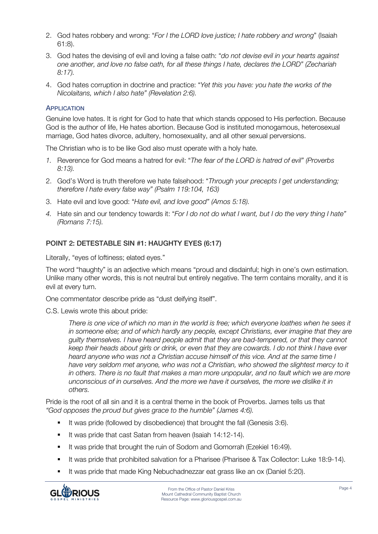- 2. God hates robbery and wrong: "*For I the LORD love justice; I hate robbery and wrong*" (Isaiah 61:8).
- 3. God hates the devising of evil and loving a false oath: "*do not devise evil in your hearts against one another, and love no false oath, for all these things I hate, declares the LORD" (Zechariah 8:17).*
- 4. God hates corruption in doctrine and practice: "*Yet this you have: you hate the works of the Nicolaitans, which I also hate" (Revelation 2:6).*

# **APPLICATION**

Genuine love hates. It is right for God to hate that which stands opposed to His perfection. Because God is the author of life, He hates abortion. Because God is instituted monogamous, heterosexual marriage, God hates divorce, adultery, homosexuality, and all other sexual perversions.

The Christian who is to be like God also must operate with a holy hate.

- *1.* Reverence for God means a hatred for evil: "*The fear of the LORD is hatred of evil" (Proverbs 8:13).*
- 2. God's Word is truth therefore we hate falsehood: "*Through your precepts I get understanding; therefore I hate every false way" (Psalm 119:104, 163)*
- 3. Hate evil and love good: "*Hate evil, and love good" (Amos 5:18).*
- *4.* Hate sin and our tendency towards it: "*For I do not do what I want, but I do the very thing I hate" (Romans 7:15).*

# POINT 2: DETESTABLE SIN #1: HAUGHTY EYES (6:17)

Literally, "eyes of loftiness; elated eyes."

The word "haughty" is an adjective which means "proud and disdainful; high in one's own estimation. Unlike many other words, this is not neutral but entirely negative. The term contains morality, and it is evil at every turn.

One commentator describe pride as "dust deifying itself".

C.S. Lewis wrote this about pride:

*There is one vice of which no man in the world is free; which everyone loathes when he sees it in someone else; and of which hardly any people, except Christians, ever imagine that they are guilty themselves. I have heard people admit that they are bad-tempered, or that they cannot keep their heads about girls or drink, or even that they are cowards. I do not think I have ever heard anyone who was not a Christian accuse himself of this vice. And at the same time I*  have very seldom met anyone, who was not a Christian, who showed the slightest mercy to it *in others. There is no fault that makes a man more unpopular, and no fault which we are more unconscious of in ourselves. And the more we have it ourselves, the more we dislike it in others.*

Pride is the root of all sin and it is a central theme in the book of Proverbs. James tells us that *"God opposes the proud but gives grace to the humble" (James 4:6).* 

- **■** It was pride (followed by disobedience) that brought the fall (Genesis 3:6).
- It was pride that cast Satan from heaven (Isaiah 14:12-14).
- § It was pride that brought the ruin of Sodom and Gomorrah (Ezekiel 16:49).
- § It was pride that prohibited salvation for a Pharisee (Pharisee & Tax Collector: Luke 18:9-14).
- § It was pride that made King Nebuchadnezzar eat grass like an ox (Daniel 5:20).

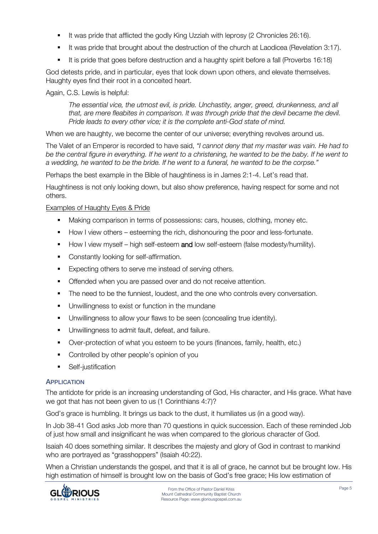- § It was pride that afflicted the godly King Uzziah with leprosy (2 Chronicles 26:16).
- § It was pride that brought about the destruction of the church at Laodicea (Revelation 3:17).
- It is pride that goes before destruction and a haughty spirit before a fall (Proverbs 16:18)

God detests pride, and in particular, eyes that look down upon others, and elevate themselves. Haughty eyes find their root in a conceited heart.

# Again, C.S. Lewis is helpful:

*The essential vice, the utmost evil, is pride. Unchastity, anger, greed, drunkenness, and all that, are mere fleabites in comparison. It was through pride that the devil became the devil. Pride leads to every other vice; it is the complete anti-God state of mind.*

When we are haughty, we become the center of our universe; everything revolves around us.

The Valet of an Emperor is recorded to have said, *"I cannot deny that my master was vain. He had to be the central figure in everything. If he went to a christening, he wanted to be the baby. If he went to a wedding, he wanted to be the bride. If he went to a funeral, he wanted to be the corpse."*

Perhaps the best example in the Bible of haughtiness is in James 2:1-4. Let's read that.

Haughtiness is not only looking down, but also show preference, having respect for some and not others.

# Examples of Haughty Eyes & Pride

- Making comparison in terms of possessions: cars, houses, clothing, money etc.
- § How I view others esteeming the rich, dishonouring the poor and less-fortunate.
- How I view myself high self-esteem and low self-esteem (false modesty/humility).
- Constantly looking for self-affirmation.
- Expecting others to serve me instead of serving others.
- Offended when you are passed over and do not receive attention.
- The need to be the funniest, loudest, and the one who controls every conversation.
- **•** Unwillingness to exist or function in the mundane
- Unwillingness to allow your flaws to be seen (concealing true identity).
- **•** Unwillingness to admit fault, defeat, and failure.
- Over-protection of what you esteem to be yours (finances, family, health, etc.)
- **•** Controlled by other people's opinion of you
- **•** Self-justification

# APPLICATION

The antidote for pride is an increasing understanding of God, His character, and His grace. What have we got that has not been given to us (1 Corinthians 4:7)?

God's grace is humbling. It brings us back to the dust, it humiliates us (in a good way).

In Job 38-41 God asks Job more than 70 questions in quick succession. Each of these reminded Job of just how small and insignificant he was when compared to the glorious character of God.

Isaiah 40 does something similar. It describes the majesty and glory of God in contrast to mankind who are portrayed as "grasshoppers" (Isaiah 40:22).

When a Christian understands the gospel, and that it is all of grace, he cannot but be brought low. His high estimation of himself is brought low on the basis of God's free grace; His low estimation of

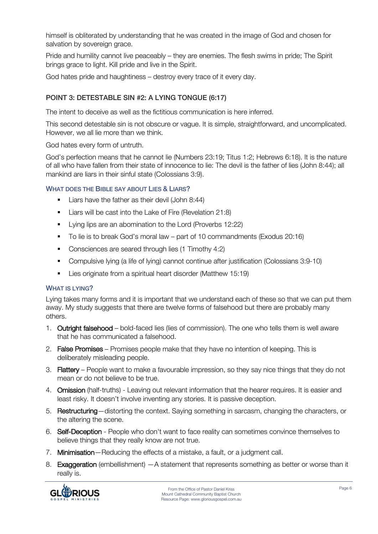himself is obliterated by understanding that he was created in the image of God and chosen for salvation by sovereign grace.

Pride and humility cannot live peaceably – they are enemies. The flesh swims in pride; The Spirit brings grace to light. Kill pride and live in the Spirit.

God hates pride and haughtiness – destroy every trace of it every day.

# POINT 3: DETESTABLE SIN #2: A LYING TONGUE (6:17)

The intent to deceive as well as the fictitious communication is here inferred.

This second detestable sin is not obscure or vague. It is simple, straightforward, and uncomplicated. However, we all lie more than we think.

God hates every form of untruth.

God's perfection means that he cannot lie (Numbers 23:19; Titus 1:2; Hebrews 6:18). It is the nature of all who have fallen from their state of innocence to lie: The devil is the father of lies (John 8:44); all mankind are liars in their sinful state (Colossians 3:9).

# WHAT DOES THE BIBLE SAY ABOUT LIES & LIARS?

- Liars have the father as their devil (John 8:44)
- Liars will be cast into the Lake of Fire (Revelation 21:8)
- Lying lips are an abomination to the Lord (Proverbs 12:22)
- § To lie is to break God's moral law part of 10 commandments (Exodus 20:16)
- Consciences are seared through lies (1 Timothy 4:2)
- § Compulsive lying (a life of lying) cannot continue after justification (Colossians 3:9-10)
- Lies originate from a spiritual heart disorder (Matthew 15:19)

#### WHAT IS LYING?

Lying takes many forms and it is important that we understand each of these so that we can put them away. My study suggests that there are twelve forms of falsehood but there are probably many others.

- 1. Outright falsehood bold-faced lies (lies of commission). The one who tells them is well aware that he has communicated a falsehood.
- 2. False Promises Promises people make that they have no intention of keeping. This is deliberately misleading people.
- 3. Flattery People want to make a favourable impression, so they say nice things that they do not mean or do not believe to be true.
- 4. Omission (half-truths) Leaving out relevant information that the hearer requires. It is easier and least risky. It doesn't involve inventing any stories. It is passive deception.
- 5. Restructuring—distorting the context. Saying something in sarcasm, changing the characters, or the altering the scene.
- 6. Self-Deception People who don't want to face reality can sometimes convince themselves to believe things that they really know are not true.
- 7. Minimisation—Reducing the effects of a mistake, a fault, or a judgment call.
- 8. Exaggeration (embellishment) A statement that represents something as better or worse than it really is.

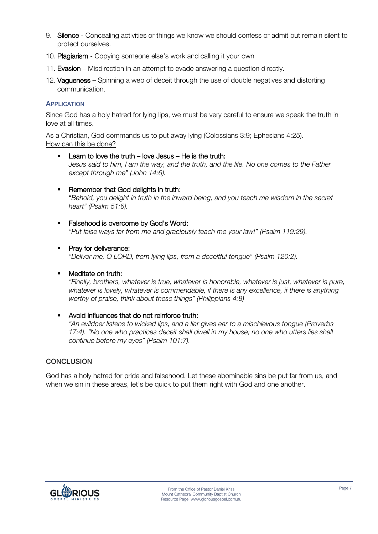- 9. Silence Concealing activities or things we know we should confess or admit but remain silent to protect ourselves.
- 10. Plagiarism Copying someone else's work and calling it your own
- 11. Evasion Misdirection in an attempt to evade answering a question directly.
- 12. Vagueness Spinning a web of deceit through the use of double negatives and distorting communication.

#### **APPLICATION**

Since God has a holy hatred for lying lips, we must be very careful to ensure we speak the truth in love at all times.

As a Christian, God commands us to put away lying (Colossians 3:9; Ephesians 4:25). How can this be done?

- **EXECT** Learn to love the truth love Jesus He is the truth: *Jesus said to him, I am the way, and the truth, and the life. No one comes to the Father except through me" (John 14:6).*
- **Remember that God delights in truth:** "*Behold, you delight in truth in the inward being, and you teach me wisdom in the secret heart" (Psalm 51:6).*
- **•** Falsehood is overcome by God's Word: *"Put false ways far from me and graciously teach me your law!" (Psalm 119:29).*
- **•** Pray for deliverance:

*"Deliver me, O LORD, from lying lips, from a deceitful tongue" (Psalm 120:2).*

#### • Meditate on truth:

*"Finally, brothers, whatever is true, whatever is honorable, whatever is just, whatever is pure, whatever is lovely, whatever is commendable, if there is any excellence, if there is anything worthy of praise, think about these things" (Philippians 4:8)*

§ Avoid influences that do not reinforce truth:

*"An evildoer listens to wicked lips, and a liar gives ear to a mischievous tongue (Proverbs 17:4). "No one who practices deceit shall dwell in my house; no one who utters lies shall continue before my eyes" (Psalm 101:7).*

# **CONCLUSION**

God has a holy hatred for pride and falsehood. Let these abominable sins be put far from us, and when we sin in these areas, let's be quick to put them right with God and one another.

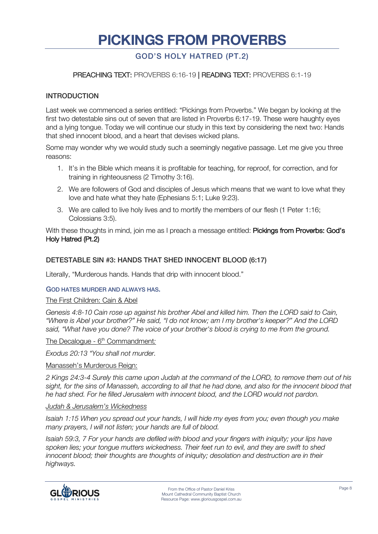# **PICKINGS FROM PROVERBS**

# GOD'S HOLY HATRED (PT.2)

# PREACHING TEXT: PROVERBS 6:16-19 | READING TEXT: PROVERBS 6:1-19

#### INTRODUCTION

Last week we commenced a series entitled: "Pickings from Proverbs." We began by looking at the first two detestable sins out of seven that are listed in Proverbs 6:17-19. These were haughty eyes and a lying tongue. Today we will continue our study in this text by considering the next two: Hands that shed innocent blood, and a heart that devises wicked plans.

Some may wonder why we would study such a seemingly negative passage. Let me give you three reasons:

- 1. It's in the Bible which means it is profitable for teaching, for reproof, for correction, and for training in righteousness (2 Timothy 3:16).
- 2. We are followers of God and disciples of Jesus which means that we want to love what they love and hate what they hate (Ephesians 5:1; Luke 9:23).
- 3. We are called to live holy lives and to mortify the members of our flesh (1 Peter 1:16; Colossians 3:5).

With these thoughts in mind, join me as I preach a message entitled: Pickings from Proverbs: God's Holy Hatred (Pt.2)

#### DETESTABLE SIN #3: HANDS THAT SHED INNOCENT BLOOD (6:17)

Literally, "Murderous hands. Hands that drip with innocent blood."

#### GOD HATES MURDER AND ALWAYS HAS.

#### The First Children: Cain & Abel

*Genesis 4:8-10 Cain rose up against his brother Abel and killed him. Then the LORD said to Cain, "Where is Abel your brother?" He said, "I do not know; am I my brother's keeper?" And the LORD said, "What have you done? The voice of your brother's blood is crying to me from the ground.*

The Decalogue - 6<sup>th</sup> Commandment:

*Exodus 20:13 "You shall not murder.*

#### Manasseh's Murderous Reign:

*2 Kings 24:3-4 Surely this came upon Judah at the command of the LORD, to remove them out of his sight, for the sins of Manasseh, according to all that he had done, and also for the innocent blood that he had shed. For he filled Jerusalem with innocent blood, and the LORD would not pardon.*

#### *Judah & Jerusalem's Wickedness*

*Isaiah 1:15 When you spread out your hands, I will hide my eyes from you; even though you make many prayers, I will not listen; your hands are full of blood.*

*Isaiah 59:3, 7 For your hands are defiled with blood and your fingers with iniquity; your lips have spoken lies; your tongue mutters wickedness. Their feet run to evil, and they are swift to shed innocent blood; their thoughts are thoughts of iniquity; desolation and destruction are in their highways.*

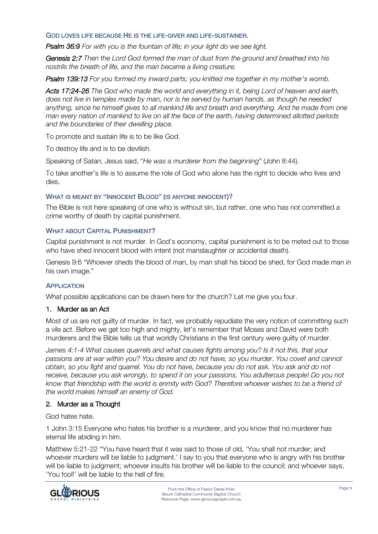GOD LOVES LIFE BECAUSE HE IS THE LIFE-GIVER AND LIFE-SUSTAINER.

*Psalm 36:9 For with you is the fountain of life; in your light do we see light.*

*Genesis 2:7 Then the Lord God formed the man of dust from the ground and breathed into his nostrils the breath of life, and the man became a living creature.*

*Psalm 139:13 For you formed my inward parts; you knitted me together in my mother's womb.*

*Acts 17:24-26 The God who made the world and everything in it, being Lord of heaven and earth, does not live in temples made by man, nor is he served by human hands, as though he needed anything, since he himself gives to all mankind life and breath and everything. And he made from one man every nation of mankind to live on all the face of the earth, having determined allotted periods and the boundaries of their dwelling place.*

To promote and sustain life is to be like God.

To destroy life and is to be devilish.

Speaking of Satan, Jesus said, "*He was a murderer from the beginning"* (John 8:44).

To take another's life is to assume the role of God who alone has the right to decide who lives and dies.

# WHAT IS MEANT BY "INNOCENT BLOOD" (IS ANYONE INNOCENT)?

The Bible is not here speaking of one who is without sin, but rather, one who has not committed a crime worthy of death by capital punishment.

#### WHAT ABOUT CAPITAL PUNISHMENT?

Capital punishment is not murder. In God's economy, capital punishment is to be meted out to those who have shed innocent blood with intent (not manslaughter or accidental death).

Genesis 9:6 "Whoever sheds the blood of man, by man shall his blood be shed, for God made man in his own image."

#### **APPLICATION**

What possible applications can be drawn here for the church? Let me give you four.

#### 1. Murder as an Act

Most of us are not guilty of murder. In fact, we probably repudiate the very notion of committing such a vile act. Before we get too high and mighty, let's remember that Moses and David were both murderers and the Bible tells us that worldly Christians in the first century were guilty of murder.

*James 4:1-4 What causes quarrels and what causes fights among you? Is it not this, that your passions are at war within you? You desire and do not have, so you murder. You covet and cannot obtain, so you fight and quarrel. You do not have, because you do not ask. You ask and do not receive, because you ask wrongly, to spend it on your passions. You adulterous people! Do you not know that friendship with the world is enmity with God? Therefore whoever wishes to be a friend of the world makes himself an enemy of God.*

#### 2. Murder as a Thought

God hates hate.

1 John 3:15 Everyone who hates his brother is a murderer, and you know that no murderer has eternal life abiding in him.

Matthew 5:21-22 "You have heard that it was said to those of old, 'You shall not murder; and whoever murders will be liable to judgment.' I say to you that everyone who is angry with his brother will be liable to judgment; whoever insults his brother will be liable to the council; and whoever says, 'You fool!' will be liable to the hell of fire.

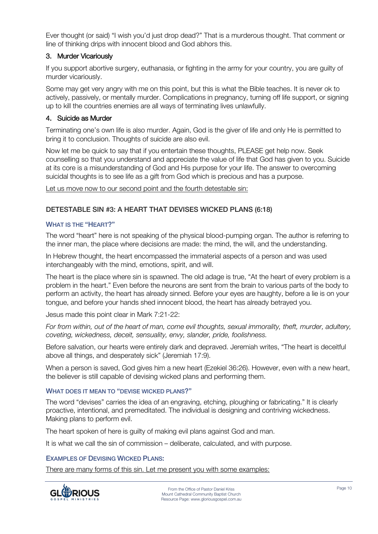Ever thought (or said) "I wish you'd just drop dead?" That is a murderous thought. That comment or line of thinking drips with innocent blood and God abhors this.

# 3. Murder Vicariously

If you support abortive surgery, euthanasia, or fighting in the army for your country, you are guilty of murder vicariously.

Some may get very angry with me on this point, but this is what the Bible teaches. It is never ok to actively, passively, or mentally murder. Complications in pregnancy, turning off life support, or signing up to kill the countries enemies are all ways of terminating lives unlawfully.

### 4. Suicide as Murder

Terminating one's own life is also murder. Again, God is the giver of life and only He is permitted to bring it to conclusion. Thoughts of suicide are also evil.

Now let me be quick to say that if you entertain these thoughts, PLEASE get help now. Seek counselling so that you understand and appreciate the value of life that God has given to you. Suicide at its core is a misunderstanding of God and His purpose for your life. The answer to overcoming suicidal thoughts is to see life as a gift from God which is precious and has a purpose.

Let us move now to our second point and the fourth detestable sin:

# DETESTABLE SIN #3: A HEART THAT DEVISES WICKED PLANS (6:18)

#### WHAT IS THE "HEART?"

The word "heart" here is not speaking of the physical blood-pumping organ. The author is referring to the inner man, the place where decisions are made: the mind, the will, and the understanding.

In Hebrew thought, the heart encompassed the immaterial aspects of a person and was used interchangeably with the mind, emotions, spirit, and will.

The heart is the place where sin is spawned. The old adage is true, "At the heart of every problem is a problem in the heart." Even before the neurons are sent from the brain to various parts of the body to perform an activity, the heart has already sinned. Before your eyes are haughty, before a lie is on your tongue, and before your hands shed innocent blood, the heart has already betrayed you.

Jesus made this point clear in Mark 7:21-22:

*For from within, out of the heart of man, come evil thoughts, sexual immorality, theft, murder, adultery, coveting, wickedness, deceit, sensuality, envy, slander, pride, foolishness.*

Before salvation, our hearts were entirely dark and depraved. Jeremiah writes, "The heart is deceitful above all things, and desperately sick" (Jeremiah 17:9).

When a person is saved, God gives him a new heart (Ezekiel 36:26). However, even with a new heart, the believer is still capable of devising wicked plans and performing them.

#### WHAT DOES IT MEAN TO "DEVISE WICKED PLANS?"

The word "devises" carries the idea of an engraving, etching, ploughing or fabricating." It is clearly proactive, intentional, and premeditated. The individual is designing and contriving wickedness. Making plans to perform evil.

The heart spoken of here is guilty of making evil plans against God and man.

It is what we call the sin of commission – deliberate, calculated, and with purpose.

#### EXAMPLES OF DEVISING WICKED PLANS:

There are many forms of this sin. Let me present you with some examples:

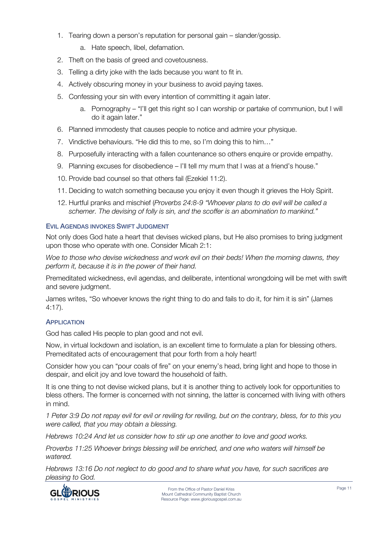- 1. Tearing down a person's reputation for personal gain slander/gossip.
	- a. Hate speech, libel, defamation.
- 2. Theft on the basis of greed and covetousness.
- 3. Telling a dirty joke with the lads because you want to fit in.
- 4. Actively obscuring money in your business to avoid paying taxes.
- 5. Confessing your sin with every intention of committing it again later.
	- a. Pornography "I'll get this right so I can worship or partake of communion, but I will do it again later."
- 6. Planned immodesty that causes people to notice and admire your physique.
- 7. Vindictive behaviours. "He did this to me, so I'm doing this to him…"
- 8. Purposefully interacting with a fallen countenance so others enquire or provide empathy.
- 9. Planning excuses for disobedience I'll tell my mum that I was at a friend's house."
- 10. Provide bad counsel so that others fail (Ezekiel 11:2).
- 11. Deciding to watch something because you enjoy it even though it grieves the Holy Spirit.
- 12. Hurtful pranks and mischief (*Proverbs 24:8-9 "Whoever plans to do evil will be called a schemer. The devising of folly is sin, and the scoffer is an abomination to mankind."*

#### EVIL AGENDAS INVOKES SWIFT JUDGMENT

Not only does God hate a heart that devises wicked plans, but He also promises to bring judgment upon those who operate with one. Consider Micah 2:1:

*Woe to those who devise wickedness and work evil on their beds! When the morning dawns, they perform it, because it is in the power of their hand.*

Premeditated wickedness, evil agendas, and deliberate, intentional wrongdoing will be met with swift and severe judgment.

James writes, "So whoever knows the right thing to do and fails to do it, for him it is sin" (James 4:17).

#### **APPLICATION**

God has called His people to plan good and not evil.

Now, in virtual lockdown and isolation, is an excellent time to formulate a plan for blessing others. Premeditated acts of encouragement that pour forth from a holy heart!

Consider how you can "pour coals of fire" on your enemy's head, bring light and hope to those in despair, and elicit joy and love toward the household of faith.

It is one thing to not devise wicked plans, but it is another thing to actively look for opportunities to bless others. The former is concerned with not sinning, the latter is concerned with living with others in mind.

*1 Peter 3:9 Do not repay evil for evil or reviling for reviling, but on the contrary, bless, for to this you were called, that you may obtain a blessing.*

*Hebrews 10:24 And let us consider how to stir up one another to love and good works.*

*Proverbs 11:25 Whoever brings blessing will be enriched, and one who waters will himself be watered.*

*Hebrews 13:16 Do not neglect to do good and to share what you have, for such sacrifices are pleasing to God.*

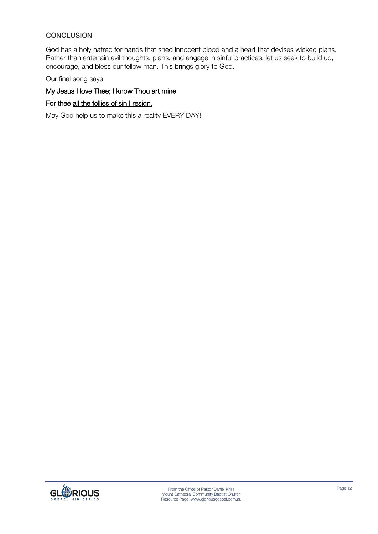# **CONCLUSION**

God has a holy hatred for hands that shed innocent blood and a heart that devises wicked plans. Rather than entertain evil thoughts, plans, and engage in sinful practices, let us seek to build up, encourage, and bless our fellow man. This brings glory to God.

Our final song says:

# My Jesus I love Thee; I know Thou art mine

# For thee all the follies of sin I resign.

May God help us to make this a reality EVERY DAY!

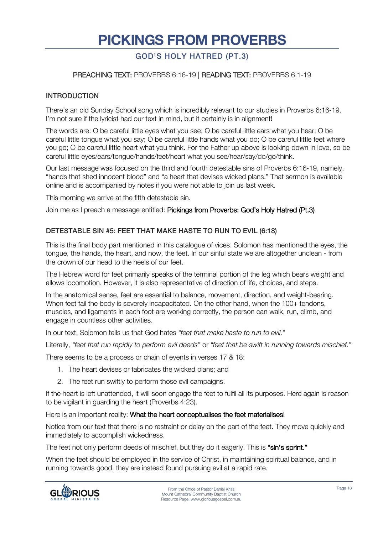# **PICKINGS FROM PROVERBS**

# GOD'S HOLY HATRED (PT.3)

# PREACHING TEXT: PROVERBS 6:16-19 | READING TEXT: PROVERBS 6:1-19

# INTRODUCTION

There's an old Sunday School song which is incredibly relevant to our studies in Proverbs 6:16-19. I'm not sure if the lyricist had our text in mind, but it certainly is in alignment!

The words are: O be careful little eyes what you see; O be careful little ears what you hear; O be careful little tongue what you say; O be careful little hands what you do; O be careful little feet where you go; O be careful little heart what you think. For the Father up above is looking down in love, so be careful little eyes/ears/tongue/hands/feet/heart what you see/hear/say/do/go/think.

Our last message was focused on the third and fourth detestable sins of Proverbs 6:16-19, namely, "hands that shed innocent blood" and "a heart that devises wicked plans." That sermon is available online and is accompanied by notes if you were not able to join us last week.

This morning we arrive at the fifth detestable sin.

Join me as I preach a message entitled: Pickings from Proverbs: God's Holy Hatred (Pt.3)

# DETESTABLE SIN #5: FEET THAT MAKE HASTE TO RUN TO EVIL (6:18)

This is the final body part mentioned in this catalogue of vices. Solomon has mentioned the eyes, the tongue, the hands, the heart, and now, the feet. In our sinful state we are altogether unclean - from the crown of our head to the heels of our feet.

The Hebrew word for feet primarily speaks of the terminal portion of the leg which bears weight and allows locomotion. However, it is also representative of direction of life, choices, and steps.

In the anatomical sense, feet are essential to balance, movement, direction, and weight-bearing. When feet fail the body is severely incapacitated. On the other hand, when the 100+ tendons, muscles, and ligaments in each foot are working correctly, the person can walk, run, climb, and engage in countless other activities.

In our text, Solomon tells us that God hates *"feet that make haste to run to evil."* 

Literally, *"feet that run rapidly to perform evil deeds"* or *"feet that be swift in running towards mischief."* 

There seems to be a process or chain of events in verses 17 & 18:

- 1. The heart devises or fabricates the wicked plans; and
- 2. The feet run swiftly to perform those evil campaigns.

If the heart is left unattended, it will soon engage the feet to fulfil all its purposes. Here again is reason to be vigilant in guarding the heart (Proverbs 4:23).

Here is an important reality: What the heart conceptualises the feet materialises!

Notice from our text that there is no restraint or delay on the part of the feet. They move quickly and immediately to accomplish wickedness.

The feet not only perform deeds of mischief, but they do it eagerly. This is "sin's sprint."

When the feet should be employed in the service of Christ, in maintaining spiritual balance, and in running towards good, they are instead found pursuing evil at a rapid rate.

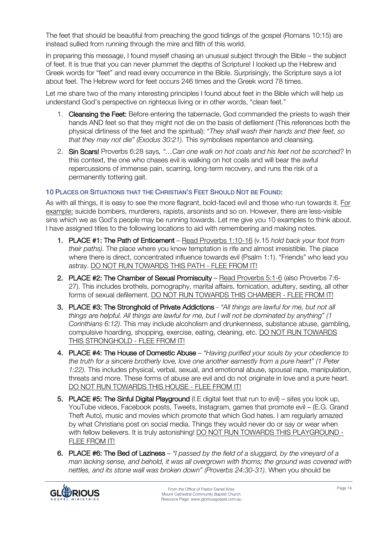The feet that should be beautiful from preaching the good tidings of the gospel (Romans 10:15) are instead sullied from running through the mire and filth of this world.

In preparing this message, I found myself chasing an unusual subject through the Bible – the subject of feet. It is true that you can never plummet the depths of Scripture! I looked up the Hebrew and Greek words for "feet" and read every occurrence in the Bible. Surprisingly, the Scripture says a lot about feet. The Hebrew word for feet occurs 246 times and the Greek word 78 times.

Let me share two of the many interesting principles I found about feet in the Bible which will help us understand God's perspective on righteous living or in other words, "clean feet."

- 1. Cleansing the Feet: Before entering the tabernacle, God commanded the priests to wash their hands AND feet so that they might not die on the basis of defilement (This references both the physical dirtiness of the feet and the spiritual): "*They shall wash their hands and their feet, so that they may not die" (Exodus 30:21).* This symbolises repentance and cleansing.
- 2. Sin Scars! Proverbs 6:28 says*, "…Can one walk on hot coals and his feet not be scorched?* In this context, the one who chases evil is walking on hot coals and will bear the awful repercussions of immense pain, scarring, long-term recovery, and runs the risk of a permanently tottering gait.

# 10 PLACES OR SITUATIONS THAT THE CHRISTIAN'S FEET SHOULD NOT BE FOUND:

As with all things, it is easy to see the more flagrant, bold-faced evil and those who run towards it. For example: suicide bombers, murderers, rapists, arsonists and so on. However, there are less-visible sins which we as God's people may be running towards. Let me give you 10 examples to think about. I have assigned titles to the following locations to aid with remembering and making notes.

- 1. PLACE #1: The Path of Enticement Read Proverbs 1:10-16 (v.15 *hold back your foot from their paths).* The place where you know temptation is rife and almost irresistible. The place where there is direct, concentrated influence towards evil (Psalm 1:1). "Friends" who lead you astray. DO NOT RUN TOWARDS THIS PATH - FLEE FROM IT!
- 2. PLACE #2: The Chamber of Sexual Promiscuity Read Proverbs 5:1-6 (also Proverbs 7:6- 27). This includes brothels, pornography, marital affairs, fornication, adultery, sexting, all other forms of sexual defilement. DO NOT RUN TOWARDS THIS CHAMBER - FLEE FROM IT!
- 3. PLACE #3: The Stronghold of Private Addictions *"All things are lawful for me, but not all things are helpful. All things are lawful for me, but I will not be dominated by anything" (1 Corinthians 6:12)*. This may include alcoholism and drunkenness, substance abuse, gambling, compulsive hoarding, shopping, exercise, eating, cleaning, etc. DO NOT RUN TOWARDS THIS STRONGHOLD - FLEE FROM IT!
- 4. PLACE #4: The House of Domestic Abuse *"Having purified your souls by your obedience to the truth for a sincere brotherly love, love one another earnestly from a pure heart" (1 Peter 1:22).* This includes physical, verbal, sexual, and emotional abuse, spousal rape, manipulation, threats and more. These forms of abuse are evil and do not originate in love and a pure heart. DO NOT RUN TOWARDS THIS HOUSE - FLEE FROM IT!
- 5. PLACE #5: The Sinful Digital Playground (I.E digital feet that run to evil) sites you look up, YouTube videos, Facebook posts, Tweets, Instagram, games that promote evil – (E.G. Grand Theft Auto), music and movies which promote that which God hates. I am regularly amazed by what Christians post on social media. Things they would never do or say or wear when with fellow believers. It is truly astonishing! DO NOT RUN TOWARDS THIS PLAYGROUND -FLEE FROM IT!
- 6. PLACE #6: The Bed of Laziness *"I passed by the field of a sluggard, by the vineyard of a man lacking sense, and behold, it was all overgrown with thorns; the ground was covered with nettles, and its stone wall was broken down" (Proverbs 24:30-31).* When you should be

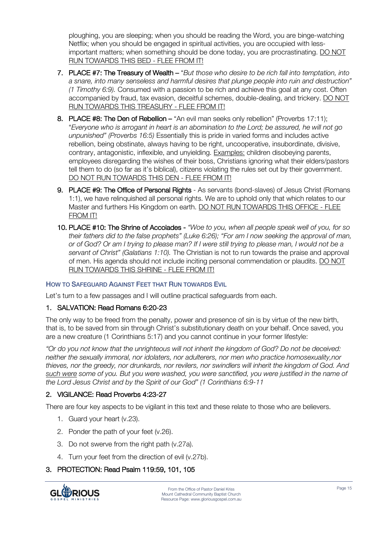ploughing, you are sleeping; when you should be reading the Word, you are binge-watching Netflix; when you should be engaged in spiritual activities, you are occupied with lessimportant matters; when something should be done today, you are procrastinating. DO NOT RUN TOWARDS THIS BED - FLEE FROM IT!

- 7. PLACE #7: The Treasury of Wealth "*But those who desire to be rich fall into temptation, into a snare, into many senseless and harmful desires that plunge people into ruin and destruction" (1 Timothy 6:9).* Consumed with a passion to be rich and achieve this goal at any cost. Often accompanied by fraud, tax evasion, deceitful schemes, double-dealing, and trickery. DO NOT RUN TOWARDS THIS TREASURY - FLEE FROM IT!
- 8. PLACE #8: The Den of Rebellion "An evil man seeks only rebellion" (Proverbs 17:11); "*Everyone who is arrogant in heart is an abomination to the Lord; be assured, he will not go unpunished" (Proverbs 16:5)* Essentially this is pride in varied forms and includes active rebellion, being obstinate, always having to be right, uncooperative, insubordinate, divisive, contrary, antagonistic, inflexible, and unyielding. Examples: children disobeying parents, employees disregarding the wishes of their boss, Christians ignoring what their elders/pastors tell them to do (so far as it's biblical), citizens violating the rules set out by their government. DO NOT RUN TOWARDS THIS DEN - FLEE FROM IT!
- 9. PLACE #9: The Office of Personal Rights As servants (bond-slaves) of Jesus Christ (Romans 1:1), we have relinquished all personal rights. We are to uphold only that which relates to our Master and furthers His Kingdom on earth. DO NOT RUN TOWARDS THIS OFFICE - FLEE FROM IT!
- 10. PLACE #10: The Shrine of Accolades *"Woe to you, when all people speak well of you, for so their fathers did to the false prophets" (Luke 6:26); "For am I now seeking the approval of man, or of God? Or am I trying to please man? If I were still trying to please man, I would not be a servant of Christ" (Galatians 1:10).* The Christian is not to run towards the praise and approval of men. His agenda should not include inciting personal commendation or plaudits. DO NOT RUN TOWARDS THIS SHRINE - FLEE FROM IT!

# HOW TO SAFEGUARD AGAINST FEET THAT RUN TOWARDS EVIL

Let's turn to a few passages and I will outline practical safeguards from each.

# 1. SALVATION: Read Romans 6:20-23

The only way to be freed from the penalty, power and presence of sin is by virtue of the new birth, that is, to be saved from sin through Christ's substitutionary death on your behalf. Once saved, you are a new creature (1 Corinthians 5:17) and you cannot continue in your former lifestyle:

*"Or do you not know that the unrighteous will not inherit the kingdom of God? Do not be deceived: neither the sexually immoral, nor idolaters, nor adulterers, nor men who practice homosexuality,nor thieves, nor the greedy, nor drunkards, nor revilers, nor swindlers will inherit the kingdom of God. And such were some of you. But you were washed, you were sanctified, you were justified in the name of the Lord Jesus Christ and by the Spirit of our God" (1 Corinthians 6:9-11*

# 2. VIGILANCE: Read Proverbs 4:23-27

There are four key aspects to be vigilant in this text and these relate to those who are believers.

- 1. Guard your heart (v.23).
- 2. Ponder the path of your feet (v.26).
- 3. Do not swerve from the right path (v.27a).
- 4. Turn your feet from the direction of evil (v.27b).

# 3. PROTECTION: Read Psalm 119:59, 101, 105

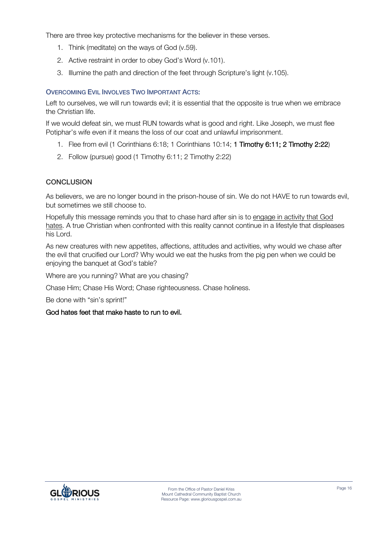There are three key protective mechanisms for the believer in these verses.

- 1. Think (meditate) on the ways of God (v.59).
- 2. Active restraint in order to obey God's Word (v.101).
- 3. Illumine the path and direction of the feet through Scripture's light (v.105).

# OVERCOMING EVIL INVOLVES TWO IMPORTANT ACTS:

Left to ourselves, we will run towards evil; it is essential that the opposite is true when we embrace the Christian life.

If we would defeat sin, we must RUN towards what is good and right. Like Joseph, we must flee Potiphar's wife even if it means the loss of our coat and unlawful imprisonment.

- 1. Flee from evil (1 Corinthians 6:18; 1 Corinthians 10:14; 1 Timothy 6:11; 2 Timothy 2:22)
- 2. Follow (pursue) good (1 Timothy 6:11; 2 Timothy 2:22)

# CONCLUSION

As believers, we are no longer bound in the prison-house of sin. We do not HAVE to run towards evil, but sometimes we still choose to.

Hopefully this message reminds you that to chase hard after sin is to engage in activity that God hates. A true Christian when confronted with this reality cannot continue in a lifestyle that displeases his Lord.

As new creatures with new appetites, affections, attitudes and activities, why would we chase after the evil that crucified our Lord? Why would we eat the husks from the pig pen when we could be enjoying the banquet at God's table?

Where are you running? What are you chasing?

Chase Him; Chase His Word; Chase righteousness. Chase holiness.

Be done with "sin's sprint!"

# God hates feet that make haste to run to evil.

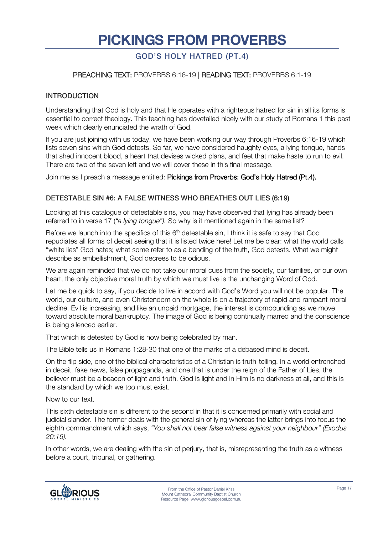# **PICKINGS FROM PROVERBS**

# GOD'S HOLY HATRED (PT.4)

# PREACHING TEXT: PROVERBS 6:16-19 | READING TEXT: PROVERBS 6:1-19

#### INTRODUCTION

Understanding that God is holy and that He operates with a righteous hatred for sin in all its forms is essential to correct theology. This teaching has dovetailed nicely with our study of Romans 1 this past week which clearly enunciated the wrath of God.

If you are just joining with us today, we have been working our way through Proverbs 6:16-19 which lists seven sins which God detests. So far, we have considered haughty eyes, a lying tongue, hands that shed innocent blood, a heart that devises wicked plans, and feet that make haste to run to evil. There are two of the seven left and we will cover these in this final message.

Join me as I preach a message entitled: Pickings from Proverbs: God's Holy Hatred (Pt.4).

#### DETESTABLE SIN #6: A FALSE WITNESS WHO BREATHES OUT LIES (6:19)

Looking at this catalogue of detestable sins, you may have observed that lying has already been referred to in verse 17 (*"a lying tongue").* So why is it mentioned again in the same list?

Before we launch into the specifics of this 6<sup>th</sup> detestable sin, I think it is safe to say that God repudiates all forms of deceit seeing that it is listed twice here! Let me be clear: what the world calls "white lies" God hates; what some refer to as a bending of the truth, God detests. What we might describe as embellishment, God decrees to be odious.

We are again reminded that we do not take our moral cues from the society, our families, or our own heart, the only objective moral truth by which we must live is the unchanging Word of God.

Let me be quick to say, if you decide to live in accord with God's Word you will not be popular. The world, our culture, and even Christendom on the whole is on a trajectory of rapid and rampant moral decline. Evil is increasing, and like an unpaid mortgage, the interest is compounding as we move toward absolute moral bankruptcy. The image of God is being continually marred and the conscience is being silenced earlier.

That which is detested by God is now being celebrated by man.

The Bible tells us in Romans 1:28-30 that one of the marks of a debased mind is deceit.

On the flip side, one of the biblical characteristics of a Christian is truth-telling. In a world entrenched in deceit, fake news, false propaganda, and one that is under the reign of the Father of Lies, the believer must be a beacon of light and truth. God is light and in Him is no darkness at all, and this is the standard by which we too must exist.

Now to our text.

This sixth detestable sin is different to the second in that it is concerned primarily with social and judicial slander. The former deals with the general sin of lying whereas the latter brings into focus the eighth commandment which says, *"You shall not bear false witness against your neighbour" (Exodus 20:16).*

In other words, we are dealing with the sin of perjury, that is, misrepresenting the truth as a witness before a court, tribunal, or gathering.

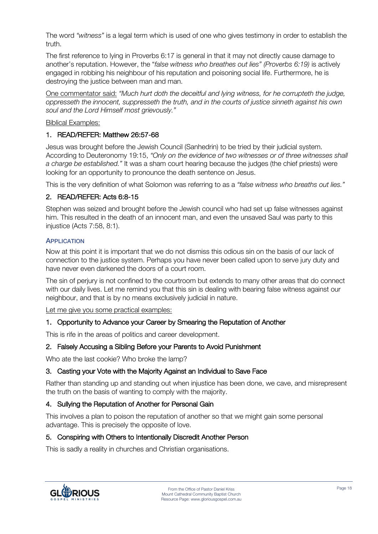The word *"witness"* is a legal term which is used of one who gives testimony in order to establish the truth.

The first reference to lying in Proverbs 6:17 is general in that it may not directly cause damage to another's reputation. However, the "*false witness who breathes out lies" (Proverbs 6:19)* is actively engaged in robbing his neighbour of his reputation and poisoning social life. Furthermore, he is destroying the justice between man and man.

One commentator said: *"Much hurt doth the deceitful and lying witness, for he corrupteth the judge, oppresseth the innocent, suppresseth the truth, and in the courts of justice sinneth against his own soul and the Lord Himself most grievously."* 

# Biblical Examples:

# 1. READ/REFER: Matthew 26:57-68

Jesus was brought before the Jewish Council (Sanhedrin) to be tried by their judicial system. According to Deuteronomy 19:15, *"Only on the evidence of two witnesses or of three witnesses shall a charge be established."* It was a sham court hearing because the judges (the chief priests) were looking for an opportunity to pronounce the death sentence on Jesus.

This is the very definition of what Solomon was referring to as a *"false witness who breaths out lies."* 

# 2. READ/REFER: Acts 6:8-15

Stephen was seized and brought before the Jewish council who had set up false witnesses against him. This resulted in the death of an innocent man, and even the unsaved Saul was party to this injustice (Acts 7:58, 8:1).

# **APPLICATION**

Now at this point it is important that we do not dismiss this odious sin on the basis of our lack of connection to the justice system. Perhaps you have never been called upon to serve jury duty and have never even darkened the doors of a court room.

The sin of perjury is not confined to the courtroom but extends to many other areas that do connect with our daily lives. Let me remind you that this sin is dealing with bearing false witness against our neighbour, and that is by no means exclusively judicial in nature.

Let me give you some practical examples:

# 1. Opportunity to Advance your Career by Smearing the Reputation of Another

This is rife in the areas of politics and career development.

# 2. Falsely Accusing a Sibling Before your Parents to Avoid Punishment

Who ate the last cookie? Who broke the lamp?

# 3. Casting your Vote with the Majority Against an Individual to Save Face

Rather than standing up and standing out when injustice has been done, we cave, and misrepresent the truth on the basis of wanting to comply with the majority.

# 4. Sullying the Reputation of Another for Personal Gain

This involves a plan to poison the reputation of another so that we might gain some personal advantage. This is precisely the opposite of love.

#### 5. Conspiring with Others to Intentionally Discredit Another Person

This is sadly a reality in churches and Christian organisations.

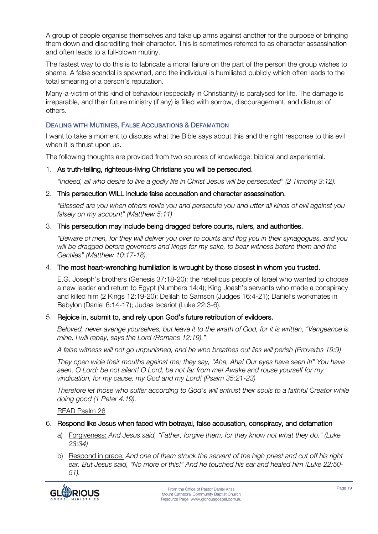A group of people organise themselves and take up arms against another for the purpose of bringing them down and discrediting their character. This is sometimes referred to as character assassination and often leads to a full-blown mutiny.

The fastest way to do this is to fabricate a moral failure on the part of the person the group wishes to shame. A false scandal is spawned, and the individual is humiliated publicly which often leads to the total smearing of a person's reputation.

Many-a-victim of this kind of behaviour (especially in Christianity) is paralysed for life. The damage is irreparable, and their future ministry (if any) is filled with sorrow, discouragement, and distrust of others.

# DEALING WITH MUTINIES, FALSE ACCUSATIONS & DEFAMATION

I want to take a moment to discuss what the Bible says about this and the right response to this evil when it is thrust upon us.

The following thoughts are provided from two sources of knowledge: biblical and experiential.

#### 1. As truth-telling, righteous-living Christians you will be persecuted.

*"Indeed, all who desire to live a godly life in Christ Jesus will be persecuted" (2 Timothy 3:12).*

#### 2. This persecution WILL include false accusation and character assassination.

*"Blessed are you when others revile you and persecute you and utter all kinds of evil against you falsely on my account" (Matthew 5:11)*

#### 3. This persecution may include being dragged before courts, rulers, and authorities.

*"Beware of men, for they will deliver you over to courts and flog you in their synagogues, and you will be dragged before governors and kings for my sake, to bear witness before them and the Gentiles" (Matthew 10:17-18).* 

#### 4. The most heart-wrenching humiliation is wrought by those closest in whom you trusted.

E.G. Joseph's brothers (Genesis 37:18-20); the rebellious people of Israel who wanted to choose a new leader and return to Egypt (Numbers 14:4); King Joash's servants who made a conspiracy and killed him (2 Kings 12:19-20); Delilah to Samson (Judges 16:4-21); Daniel's workmates in Babylon (Daniel 6:14-17); Judas Iscariot (Luke 22:3-6).

#### 5. Rejoice in, submit to, and rely upon God's future retribution of evildoers.

*Beloved, never avenge yourselves, but leave it to the wrath of God, for it is written, "Vengeance is mine, I will repay, says the Lord (Romans 12:19)."*

*A false witness will not go unpunished, and he who breathes out lies will perish (Proverbs 19:9)*

*They open wide their mouths against me; they say, "Aha, Aha! Our eyes have seen it!" You have seen, O Lord; be not silent! O Lord, be not far from me! Awake and rouse yourself for my vindication, for my cause, my God and my Lord! (Psalm 35:21-23)*

*Therefore let those who suffer according to God's will entrust their souls to a faithful Creator while doing good (1 Peter 4:19).*

READ Psalm 26

#### 6. Respond like Jesus when faced with betrayal, false accusation, conspiracy, and defamation

- a) Forgiveness: *And Jesus said, "Father, forgive them, for they know not what they do." (Luke 23:34)*
- b) Respond in grace: *And one of them struck the servant of the high priest and cut off his right ear. But Jesus said, "No more of this!" And he touched his ear and healed him (Luke 22:50- 51).*

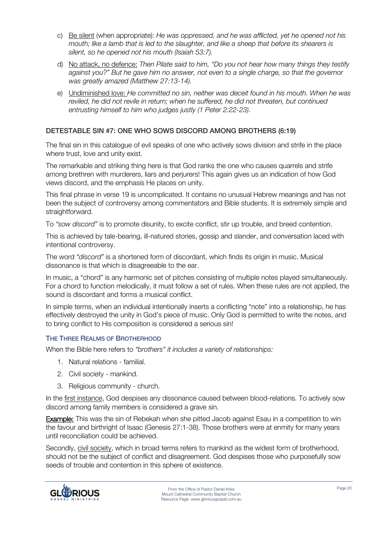- c) Be silent (when appropriate): *He was oppressed, and he was afflicted, yet he opened not his mouth; like a lamb that is led to the slaughter, and like a sheep that before its shearers is silent, so he opened not his mouth (Isaiah 53:7).*
- d) No attack, no defence: *Then Pilate said to him, "Do you not hear how many things they testify against you?" But he gave him no answer, not even to a single charge, so that the governor was greatly amazed (Matthew 27:13-14).*
- e) Undiminished love: *He committed no sin, neither was deceit found in his mouth. When he was reviled, he did not revile in return; when he suffered, he did not threaten, but continued entrusting himself to him who judges justly (1 Peter 2:22-23).*

# DETESTABLE SIN #7: ONE WHO SOWS DISCORD AMONG BROTHERS (6:19)

The final sin in this catalogue of evil speaks of one who actively sows division and strife in the place where trust, love and unity exist.

The remarkable and striking thing here is that God ranks the one who causes quarrels and strife among brethren with murderers, liars and perjurers! This again gives us an indication of how God views discord, and the emphasis He places on unity.

This final phrase in verse 19 is uncomplicated. It contains no unusual Hebrew meanings and has not been the subject of controversy among commentators and Bible students. It is extremely simple and straightforward.

To *"sow discord"* is to promote disunity, to excite conflict, stir up trouble, and breed contention.

This is achieved by tale-bearing, ill-natured stories, gossip and slander, and conversation laced with intentional controversy.

The word *"discord"* is a shortened form of discordant, which finds its origin in music. Musical dissonance is that which is disagreeable to the ear.

In music, a "chord" is any harmonic set of pitches consisting of multiple notes played simultaneously. For a chord to function melodically, it must follow a set of rules. When these rules are not applied, the sound is discordant and forms a musical conflict.

In simple terms, when an individual intentionally inserts a conflicting "note" into a relationship, he has effectively destroyed the unity in God's piece of music. Only God is permitted to write the notes, and to bring conflict to His composition is considered a serious sin!

# THE THREE REALMS OF BROTHERHOOD

When the Bible here refers to *"brothers" it includes a variety of relationships:*

- 1. Natural relations familial.
- 2. Civil society mankind.
- 3. Religious community church.

In the first instance, God despises any dissonance caused between blood-relations. To actively sow discord among family members is considered a grave sin.

Example: This was the sin of Rebekah when she pitted Jacob against Esau in a competition to win the favour and birthright of Isaac (Genesis 27:1-38). Those brothers were at enmity for many years until reconciliation could be achieved.

Secondly, civil society, which in broad terms refers to mankind as the widest form of brotherhood, should not be the subject of conflict and disagreement. God despises those who purposefully sow seeds of trouble and contention in this sphere of existence.

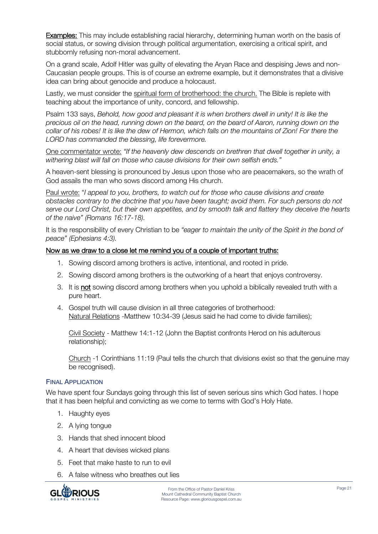Examples: This may include establishing racial hierarchy, determining human worth on the basis of social status, or sowing division through political argumentation, exercising a critical spirit, and stubbornly refusing non-moral advancement.

On a grand scale, Adolf Hitler was guilty of elevating the Aryan Race and despising Jews and non-Caucasian people groups. This is of course an extreme example, but it demonstrates that a divisive idea can bring about genocide and produce a holocaust.

Lastly, we must consider the spiritual form of brotherhood: the church. The Bible is replete with teaching about the importance of unity, concord, and fellowship.

Psalm 133 says, *Behold, how good and pleasant it is when brothers dwell in unity! It is like the precious oil on the head, running down on the beard, on the beard of Aaron, running down on the collar of his robes! It is like the dew of Hermon, which falls on the mountains of Zion! For there the LORD has commanded the blessing, life forevermore.*

One commentator wrote: *"If the heavenly dew descends on brethren that dwell together in unity, a withering blast will fall on those who cause divisions for their own selfish ends."*

A heaven-sent blessing is pronounced by Jesus upon those who are peacemakers, so the wrath of God assails the man who sows discord among His church.

Paul wrote: "*I appeal to you, brothers, to watch out for those who cause divisions and create obstacles contrary to the doctrine that you have been taught; avoid them. For such persons do not serve our Lord Christ, but their own appetites, and by smooth talk and flattery they deceive the hearts of the naive" (Romans 16:17-18).*

It is the responsibility of every Christian to be *"eager to maintain the unity of the Spirit in the bond of peace" (Ephesians 4:3).* 

#### Now as we draw to a close let me remind you of a couple of important truths:

- 1. Sowing discord among brothers is active, intentional, and rooted in pride.
- 2. Sowing discord among brothers is the outworking of a heart that enjoys controversy.
- 3. It is not sowing discord among brothers when you uphold a biblically revealed truth with a pure heart.
- 4. Gospel truth will cause division in all three categories of brotherhood: Natural Relations -Matthew 10:34-39 (Jesus said he had come to divide families);

Civil Society - Matthew 14:1-12 (John the Baptist confronts Herod on his adulterous relationship);

Church -1 Corinthians 11:19 (Paul tells the church that divisions exist so that the genuine may be recognised).

#### FINAL APPLICATION

We have spent four Sundays going through this list of seven serious sins which God hates. I hope that it has been helpful and convicting as we come to terms with God's Holy Hate.

- 1. Haughty eyes
- 2. A lying tongue
- 3. Hands that shed innocent blood
- 4. A heart that devises wicked plans
- 5. Feet that make haste to run to evil
- 6. A false witness who breathes out lies